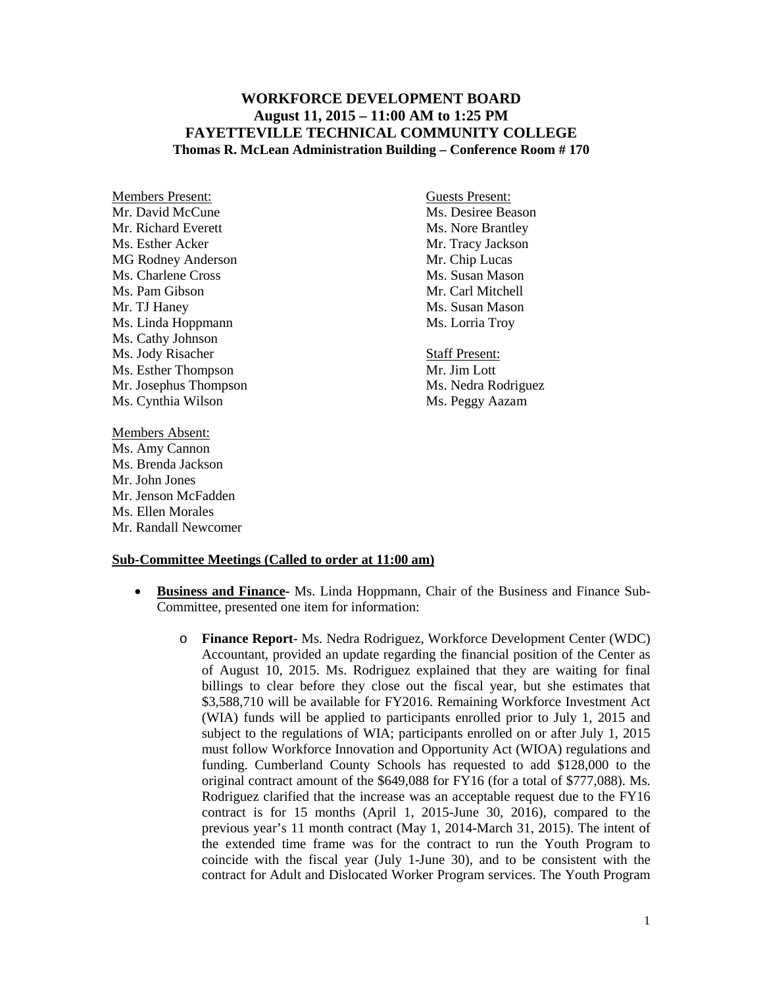## **WORKFORCE DEVELOPMENT BOARD August 11, 2015 – 11:00 AM to 1:25 PM FAYETTEVILLE TECHNICAL COMMUNITY COLLEGE Thomas R. McLean Administration Building – Conference Room # 170**

Members Present: Guests Present: Mr. David McCune Ms. Desiree Beason Mr. Richard Everett Ms. Nore Brantley Ms. Esther Acker Mr. Tracy Jackson MG Rodney Anderson Mr. Chip Lucas Ms. Charlene Cross Ms. Susan Mason Ms. Pam Gibson Mr. Carl Mitchell Mr. TJ Haney Ms. Susan Mason Ms. Linda Hoppmann Ms. Lorria Troy Ms. Cathy Johnson Ms. Jody Risacher Staff Present: Ms. Esther Thompson Mr. Jim Lott Mr. Josephus Thompson Ms. Nedra Rodriguez Ms. Cynthia Wilson Ms. Peggy Aazam

Members Absent: Ms. Amy Cannon Ms. Brenda Jackson Mr. John Jones Mr. Jenson McFadden Ms. Ellen Morales Mr. Randall Newcomer

## **Sub-Committee Meetings (Called to order at 11:00 am)**

- **Business and Finance-** Ms. Linda Hoppmann, Chair of the Business and Finance Sub-Committee, presented one item for information:
	- o **Finance Report** Ms. Nedra Rodriguez, Workforce Development Center (WDC) Accountant, provided an update regarding the financial position of the Center as of August 10, 2015. Ms. Rodriguez explained that they are waiting for final billings to clear before they close out the fiscal year, but she estimates that \$3,588,710 will be available for FY2016. Remaining Workforce Investment Act (WIA) funds will be applied to participants enrolled prior to July 1, 2015 and subject to the regulations of WIA; participants enrolled on or after July 1, 2015 must follow Workforce Innovation and Opportunity Act (WIOA) regulations and funding. Cumberland County Schools has requested to add \$128,000 to the original contract amount of the \$649,088 for FY16 (for a total of \$777,088). Ms. Rodriguez clarified that the increase was an acceptable request due to the FY16 contract is for 15 months (April 1, 2015-June 30, 2016), compared to the previous year's 11 month contract (May 1, 2014-March 31, 2015). The intent of the extended time frame was for the contract to run the Youth Program to coincide with the fiscal year (July 1-June 30), and to be consistent with the contract for Adult and Dislocated Worker Program services. The Youth Program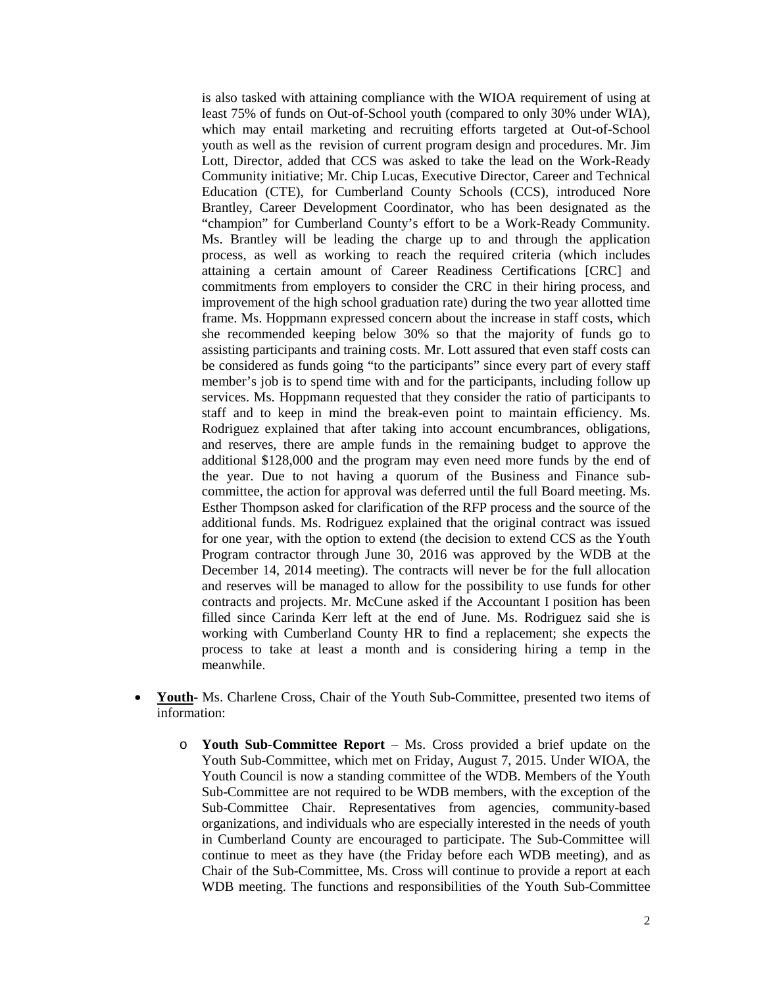is also tasked with attaining compliance with the WIOA requirement of using at least 75% of funds on Out-of-School youth (compared to only 30% under WIA), which may entail marketing and recruiting efforts targeted at Out-of-School youth as well as the revision of current program design and procedures. Mr. Jim Lott, Director, added that CCS was asked to take the lead on the Work-Ready Community initiative; Mr. Chip Lucas, Executive Director, Career and Technical Education (CTE), for Cumberland County Schools (CCS), introduced Nore Brantley, Career Development Coordinator, who has been designated as the "champion" for Cumberland County's effort to be a Work-Ready Community. Ms. Brantley will be leading the charge up to and through the application process, as well as working to reach the required criteria (which includes attaining a certain amount of Career Readiness Certifications [CRC] and commitments from employers to consider the CRC in their hiring process, and improvement of the high school graduation rate) during the two year allotted time frame. Ms. Hoppmann expressed concern about the increase in staff costs, which she recommended keeping below 30% so that the majority of funds go to assisting participants and training costs. Mr. Lott assured that even staff costs can be considered as funds going "to the participants" since every part of every staff member's job is to spend time with and for the participants, including follow up services. Ms. Hoppmann requested that they consider the ratio of participants to staff and to keep in mind the break-even point to maintain efficiency. Ms. Rodriguez explained that after taking into account encumbrances, obligations, and reserves, there are ample funds in the remaining budget to approve the additional \$128,000 and the program may even need more funds by the end of the year. Due to not having a quorum of the Business and Finance subcommittee, the action for approval was deferred until the full Board meeting. Ms. Esther Thompson asked for clarification of the RFP process and the source of the additional funds. Ms. Rodriguez explained that the original contract was issued for one year, with the option to extend (the decision to extend CCS as the Youth Program contractor through June 30, 2016 was approved by the WDB at the December 14, 2014 meeting). The contracts will never be for the full allocation and reserves will be managed to allow for the possibility to use funds for other contracts and projects. Mr. McCune asked if the Accountant I position has been filled since Carinda Kerr left at the end of June. Ms. Rodriguez said she is working with Cumberland County HR to find a replacement; she expects the process to take at least a month and is considering hiring a temp in the meanwhile.

- **Youth** Ms. Charlene Cross, Chair of the Youth Sub-Committee, presented two items of information:
	- o **Youth Sub-Committee Report** Ms. Cross provided a brief update on the Youth Sub-Committee, which met on Friday, August 7, 2015. Under WIOA, the Youth Council is now a standing committee of the WDB. Members of the Youth Sub-Committee are not required to be WDB members, with the exception of the Sub-Committee Chair. Representatives from agencies, community-based organizations, and individuals who are especially interested in the needs of youth in Cumberland County are encouraged to participate. The Sub-Committee will continue to meet as they have (the Friday before each WDB meeting), and as Chair of the Sub-Committee, Ms. Cross will continue to provide a report at each WDB meeting. The functions and responsibilities of the Youth Sub-Committee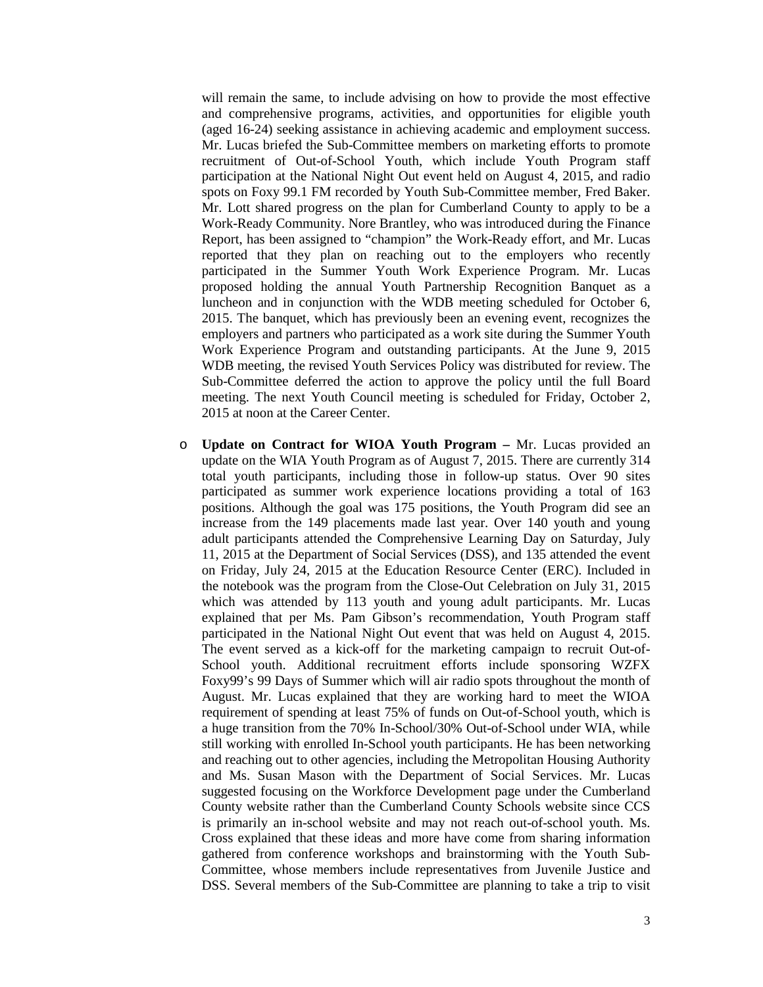will remain the same, to include advising on how to provide the most effective and comprehensive programs, activities, and opportunities for eligible youth (aged 16-24) seeking assistance in achieving academic and employment success. Mr. Lucas briefed the Sub-Committee members on marketing efforts to promote recruitment of Out-of-School Youth, which include Youth Program staff participation at the National Night Out event held on August 4, 2015, and radio spots on Foxy 99.1 FM recorded by Youth Sub-Committee member, Fred Baker. Mr. Lott shared progress on the plan for Cumberland County to apply to be a Work-Ready Community. Nore Brantley, who was introduced during the Finance Report, has been assigned to "champion" the Work-Ready effort, and Mr. Lucas reported that they plan on reaching out to the employers who recently participated in the Summer Youth Work Experience Program. Mr. Lucas proposed holding the annual Youth Partnership Recognition Banquet as a luncheon and in conjunction with the WDB meeting scheduled for October 6, 2015. The banquet, which has previously been an evening event, recognizes the employers and partners who participated as a work site during the Summer Youth Work Experience Program and outstanding participants. At the June 9, 2015 WDB meeting, the revised Youth Services Policy was distributed for review. The Sub-Committee deferred the action to approve the policy until the full Board meeting. The next Youth Council meeting is scheduled for Friday, October 2, 2015 at noon at the Career Center.

o **Update on Contract for WIOA Youth Program –** Mr. Lucas provided an update on the WIA Youth Program as of August 7, 2015. There are currently 314 total youth participants, including those in follow-up status. Over 90 sites participated as summer work experience locations providing a total of 163 positions. Although the goal was 175 positions, the Youth Program did see an increase from the 149 placements made last year. Over 140 youth and young adult participants attended the Comprehensive Learning Day on Saturday, July 11, 2015 at the Department of Social Services (DSS), and 135 attended the event on Friday, July 24, 2015 at the Education Resource Center (ERC). Included in the notebook was the program from the Close-Out Celebration on July 31, 2015 which was attended by 113 youth and young adult participants. Mr. Lucas explained that per Ms. Pam Gibson's recommendation, Youth Program staff participated in the National Night Out event that was held on August 4, 2015. The event served as a kick-off for the marketing campaign to recruit Out-of-School youth. Additional recruitment efforts include sponsoring WZFX Foxy99's 99 Days of Summer which will air radio spots throughout the month of August. Mr. Lucas explained that they are working hard to meet the WIOA requirement of spending at least 75% of funds on Out-of-School youth, which is a huge transition from the 70% In-School/30% Out-of-School under WIA, while still working with enrolled In-School youth participants. He has been networking and reaching out to other agencies, including the Metropolitan Housing Authority and Ms. Susan Mason with the Department of Social Services. Mr. Lucas suggested focusing on the Workforce Development page under the Cumberland County website rather than the Cumberland County Schools website since CCS is primarily an in-school website and may not reach out-of-school youth. Ms. Cross explained that these ideas and more have come from sharing information gathered from conference workshops and brainstorming with the Youth Sub-Committee, whose members include representatives from Juvenile Justice and DSS. Several members of the Sub-Committee are planning to take a trip to visit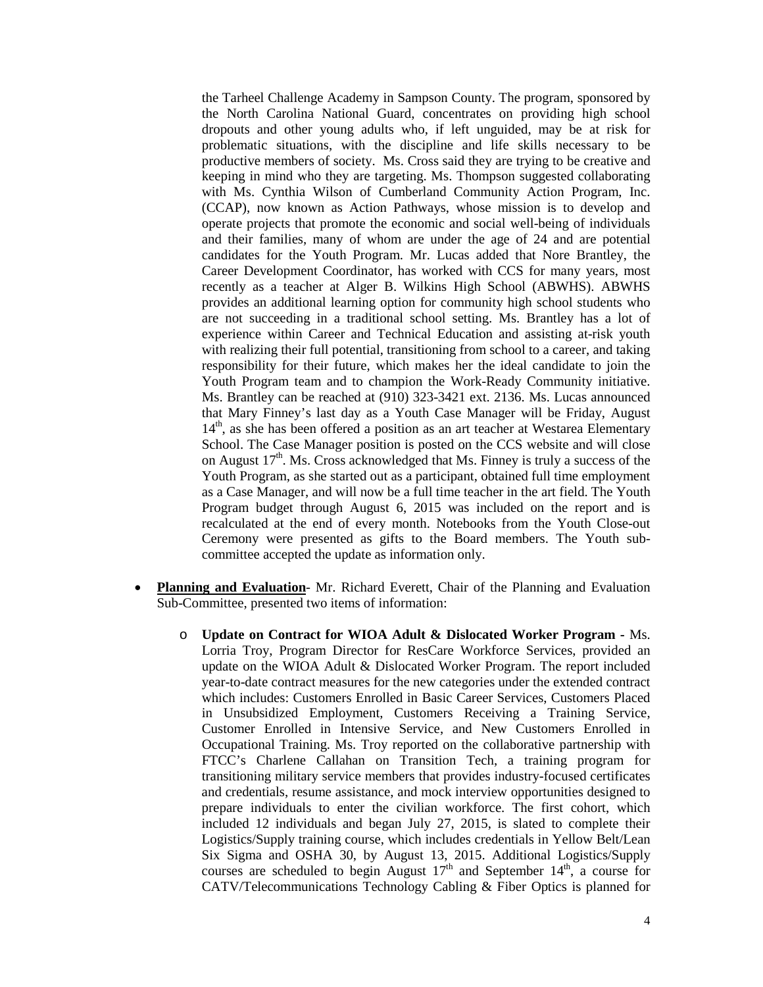the Tarheel Challenge Academy in Sampson County. The program, sponsored by the North Carolina National Guard, concentrates on providing high school dropouts and other young adults who, if left unguided, may be at risk for problematic situations, with the discipline and life skills necessary to be productive members of society. Ms. Cross said they are trying to be creative and keeping in mind who they are targeting. Ms. Thompson suggested collaborating with Ms. Cynthia Wilson of Cumberland Community Action Program, Inc. (CCAP), now known as Action Pathways, whose mission is to develop and operate projects that promote the economic and social well-being of individuals and their families, many of whom are under the age of 24 and are potential candidates for the Youth Program. Mr. Lucas added that Nore Brantley, the Career Development Coordinator, has worked with CCS for many years, most recently as a teacher at Alger B. Wilkins High School (ABWHS). ABWHS provides an additional learning option for community high school students who are not succeeding in a traditional school setting. Ms. Brantley has a lot of experience within Career and Technical Education and assisting at-risk youth with realizing their full potential, transitioning from school to a career, and taking responsibility for their future, which makes her the ideal candidate to join the Youth Program team and to champion the Work-Ready Community initiative. Ms. Brantley can be reached at (910) 323-3421 ext. 2136. Ms. Lucas announced that Mary Finney's last day as a Youth Case Manager will be Friday, August  $14<sup>th</sup>$ , as she has been offered a position as an art teacher at Westarea Elementary School. The Case Manager position is posted on the CCS website and will close on August  $17<sup>th</sup>$ . Ms. Cross acknowledged that Ms. Finney is truly a success of the Youth Program, as she started out as a participant, obtained full time employment as a Case Manager, and will now be a full time teacher in the art field. The Youth Program budget through August 6, 2015 was included on the report and is recalculated at the end of every month. Notebooks from the Youth Close-out Ceremony were presented as gifts to the Board members. The Youth subcommittee accepted the update as information only.

- **Planning and Evaluation** Mr. Richard Everett, Chair of the Planning and Evaluation Sub-Committee, presented two items of information:
	- o **Update on Contract for WIOA Adult & Dislocated Worker Program -** Ms. Lorria Troy, Program Director for ResCare Workforce Services, provided an update on the WIOA Adult & Dislocated Worker Program. The report included year-to-date contract measures for the new categories under the extended contract which includes: Customers Enrolled in Basic Career Services, Customers Placed in Unsubsidized Employment, Customers Receiving a Training Service, Customer Enrolled in Intensive Service, and New Customers Enrolled in Occupational Training. Ms. Troy reported on the collaborative partnership with FTCC's Charlene Callahan on Transition Tech, a training program for transitioning military service members that provides industry-focused certificates and credentials, resume assistance, and mock interview opportunities designed to prepare individuals to enter the civilian workforce. The first cohort, which included 12 individuals and began July 27, 2015, is slated to complete their Logistics/Supply training course, which includes credentials in Yellow Belt/Lean Six Sigma and OSHA 30, by August 13, 2015. Additional Logistics/Supply courses are scheduled to begin August  $17<sup>th</sup>$  and September  $14<sup>th</sup>$ , a course for CATV/Telecommunications Technology Cabling & Fiber Optics is planned for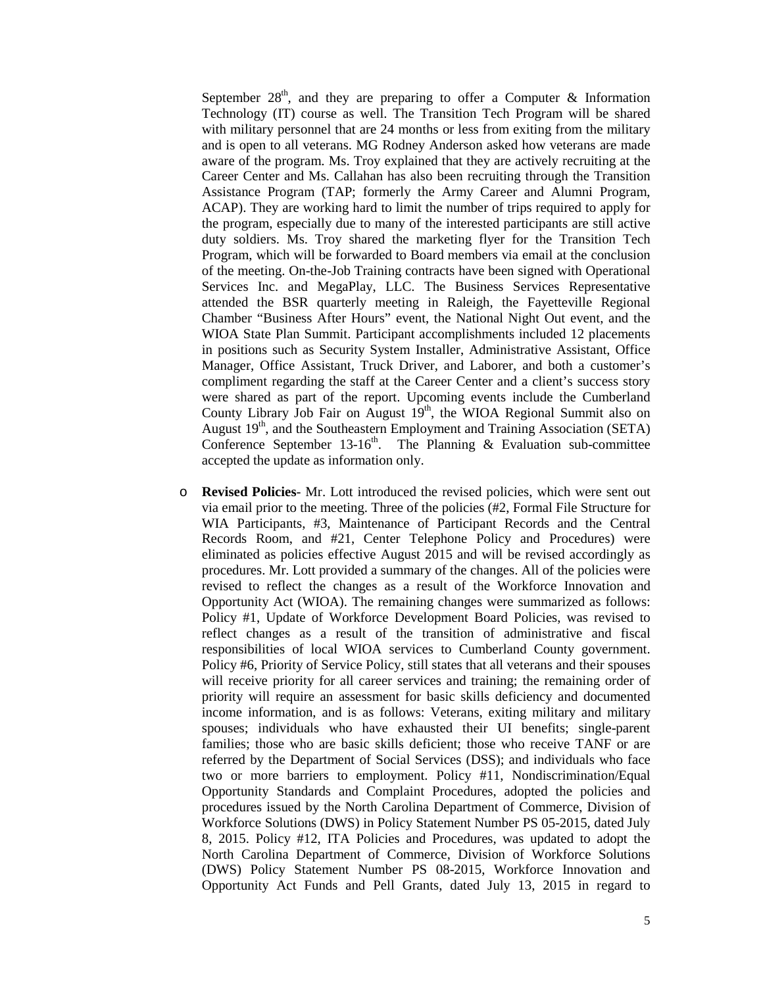September  $28<sup>th</sup>$ , and they are preparing to offer a Computer & Information Technology (IT) course as well. The Transition Tech Program will be shared with military personnel that are 24 months or less from exiting from the military and is open to all veterans. MG Rodney Anderson asked how veterans are made aware of the program. Ms. Troy explained that they are actively recruiting at the Career Center and Ms. Callahan has also been recruiting through the Transition Assistance Program (TAP; formerly the Army Career and Alumni Program, ACAP). They are working hard to limit the number of trips required to apply for the program, especially due to many of the interested participants are still active duty soldiers. Ms. Troy shared the marketing flyer for the Transition Tech Program, which will be forwarded to Board members via email at the conclusion of the meeting. On-the-Job Training contracts have been signed with Operational Services Inc. and MegaPlay, LLC. The Business Services Representative attended the BSR quarterly meeting in Raleigh, the Fayetteville Regional Chamber "Business After Hours" event, the National Night Out event, and the WIOA State Plan Summit. Participant accomplishments included 12 placements in positions such as Security System Installer, Administrative Assistant, Office Manager, Office Assistant, Truck Driver, and Laborer, and both a customer's compliment regarding the staff at the Career Center and a client's success story were shared as part of the report. Upcoming events include the Cumberland County Library Job Fair on August  $19<sup>th</sup>$ , the WIOA Regional Summit also on August 19<sup>th</sup>, and the Southeastern Employment and Training Association (SETA) Conference September 13-16<sup>th</sup>. The Planning & Evaluation sub-committee accepted the update as information only.

o **Revised Policies**- Mr. Lott introduced the revised policies, which were sent out via email prior to the meeting. Three of the policies (#2, Formal File Structure for WIA Participants, #3, Maintenance of Participant Records and the Central Records Room, and #21, Center Telephone Policy and Procedures) were eliminated as policies effective August 2015 and will be revised accordingly as procedures. Mr. Lott provided a summary of the changes. All of the policies were revised to reflect the changes as a result of the Workforce Innovation and Opportunity Act (WIOA). The remaining changes were summarized as follows: Policy #1, Update of Workforce Development Board Policies, was revised to reflect changes as a result of the transition of administrative and fiscal responsibilities of local WIOA services to Cumberland County government. Policy #6, Priority of Service Policy, still states that all veterans and their spouses will receive priority for all career services and training; the remaining order of priority will require an assessment for basic skills deficiency and documented income information, and is as follows: Veterans, exiting military and military spouses; individuals who have exhausted their UI benefits; single-parent families; those who are basic skills deficient; those who receive TANF or are referred by the Department of Social Services (DSS); and individuals who face two or more barriers to employment. Policy #11, Nondiscrimination/Equal Opportunity Standards and Complaint Procedures, adopted the policies and procedures issued by the North Carolina Department of Commerce, Division of Workforce Solutions (DWS) in Policy Statement Number PS 05-2015, dated July 8, 2015. Policy #12, ITA Policies and Procedures, was updated to adopt the North Carolina Department of Commerce, Division of Workforce Solutions (DWS) Policy Statement Number PS 08-2015, Workforce Innovation and Opportunity Act Funds and Pell Grants, dated July 13, 2015 in regard to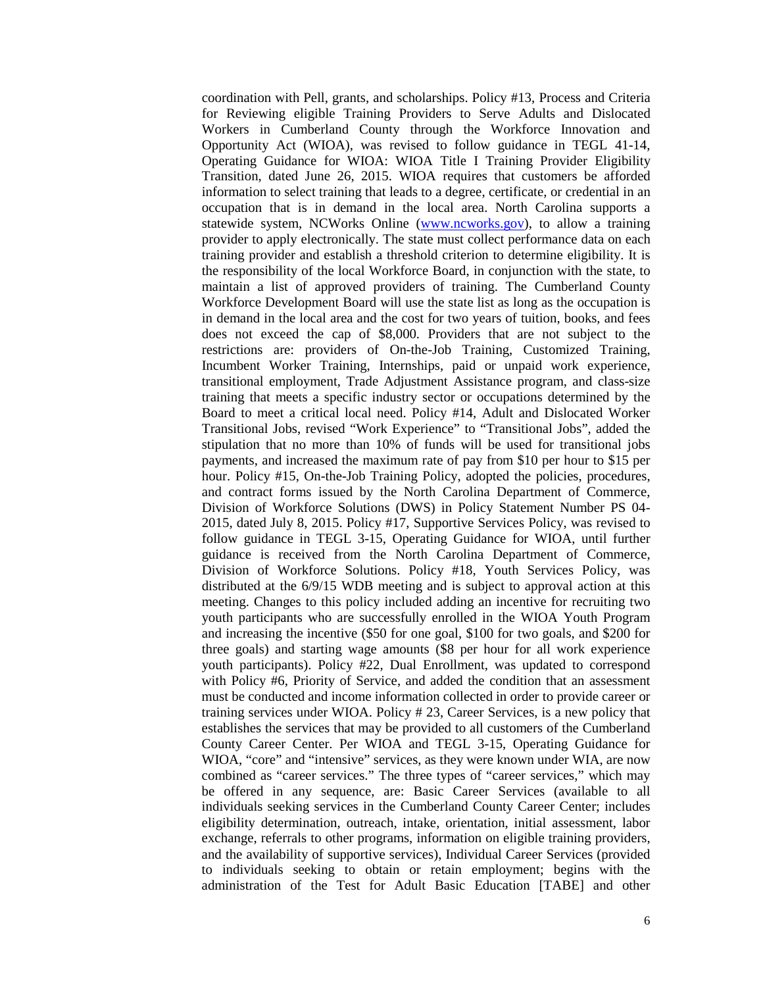coordination with Pell, grants, and scholarships. Policy #13, Process and Criteria for Reviewing eligible Training Providers to Serve Adults and Dislocated Workers in Cumberland County through the Workforce Innovation and Opportunity Act (WIOA), was revised to follow guidance in TEGL 41-14, Operating Guidance for WIOA: WIOA Title I Training Provider Eligibility Transition, dated June 26, 2015. WIOA requires that customers be afforded information to select training that leads to a degree, certificate, or credential in an occupation that is in demand in the local area. North Carolina supports a statewide system, NCWorks Online [\(www.ncworks.gov\)](http://www.ncworks.gov/), to allow a training provider to apply electronically. The state must collect performance data on each training provider and establish a threshold criterion to determine eligibility. It is the responsibility of the local Workforce Board, in conjunction with the state, to maintain a list of approved providers of training. The Cumberland County Workforce Development Board will use the state list as long as the occupation is in demand in the local area and the cost for two years of tuition, books, and fees does not exceed the cap of \$8,000. Providers that are not subject to the restrictions are: providers of On-the-Job Training, Customized Training, Incumbent Worker Training, Internships, paid or unpaid work experience, transitional employment, Trade Adjustment Assistance program, and class-size training that meets a specific industry sector or occupations determined by the Board to meet a critical local need. Policy #14, Adult and Dislocated Worker Transitional Jobs, revised "Work Experience" to "Transitional Jobs", added the stipulation that no more than 10% of funds will be used for transitional jobs payments, and increased the maximum rate of pay from \$10 per hour to \$15 per hour. Policy #15, On-the-Job Training Policy, adopted the policies, procedures, and contract forms issued by the North Carolina Department of Commerce, Division of Workforce Solutions (DWS) in Policy Statement Number PS 04- 2015, dated July 8, 2015. Policy #17, Supportive Services Policy, was revised to follow guidance in TEGL 3-15, Operating Guidance for WIOA, until further guidance is received from the North Carolina Department of Commerce, Division of Workforce Solutions. Policy #18, Youth Services Policy, was distributed at the 6/9/15 WDB meeting and is subject to approval action at this meeting. Changes to this policy included adding an incentive for recruiting two youth participants who are successfully enrolled in the WIOA Youth Program and increasing the incentive (\$50 for one goal, \$100 for two goals, and \$200 for three goals) and starting wage amounts (\$8 per hour for all work experience youth participants). Policy #22, Dual Enrollment, was updated to correspond with Policy #6, Priority of Service, and added the condition that an assessment must be conducted and income information collected in order to provide career or training services under WIOA. Policy # 23, Career Services, is a new policy that establishes the services that may be provided to all customers of the Cumberland County Career Center. Per WIOA and TEGL 3-15, Operating Guidance for WIOA, "core" and "intensive" services, as they were known under WIA, are now combined as "career services." The three types of "career services," which may be offered in any sequence, are: Basic Career Services (available to all individuals seeking services in the Cumberland County Career Center; includes eligibility determination, outreach, intake, orientation, initial assessment, labor exchange, referrals to other programs, information on eligible training providers, and the availability of supportive services), Individual Career Services (provided to individuals seeking to obtain or retain employment; begins with the administration of the Test for Adult Basic Education [TABE] and other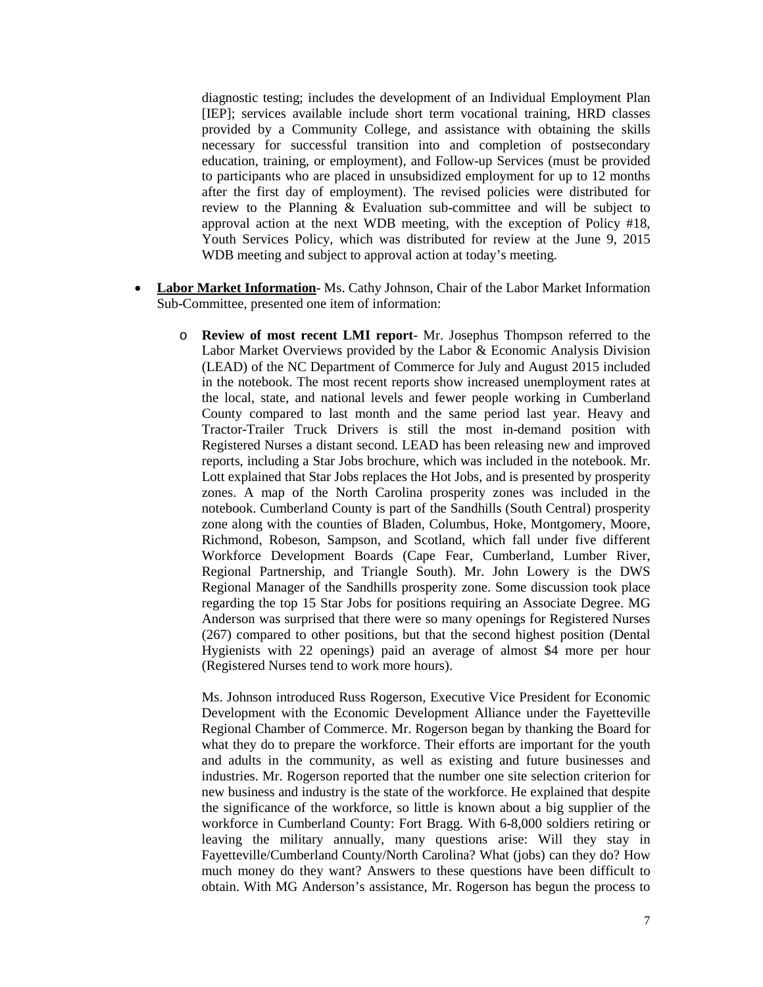diagnostic testing; includes the development of an Individual Employment Plan [IEP]; services available include short term vocational training, HRD classes provided by a Community College, and assistance with obtaining the skills necessary for successful transition into and completion of postsecondary education, training, or employment), and Follow-up Services (must be provided to participants who are placed in unsubsidized employment for up to 12 months after the first day of employment). The revised policies were distributed for review to the Planning & Evaluation sub-committee and will be subject to approval action at the next WDB meeting, with the exception of Policy #18, Youth Services Policy, which was distributed for review at the June 9, 2015 WDB meeting and subject to approval action at today's meeting.

- **Labor Market Information** Ms. Cathy Johnson, Chair of the Labor Market Information Sub-Committee, presented one item of information:
	- o **Review of most recent LMI report** Mr. Josephus Thompson referred to the Labor Market Overviews provided by the Labor & Economic Analysis Division (LEAD) of the NC Department of Commerce for July and August 2015 included in the notebook. The most recent reports show increased unemployment rates at the local, state, and national levels and fewer people working in Cumberland County compared to last month and the same period last year. Heavy and Tractor-Trailer Truck Drivers is still the most in-demand position with Registered Nurses a distant second. LEAD has been releasing new and improved reports, including a Star Jobs brochure, which was included in the notebook. Mr. Lott explained that Star Jobs replaces the Hot Jobs, and is presented by prosperity zones. A map of the North Carolina prosperity zones was included in the notebook. Cumberland County is part of the Sandhills (South Central) prosperity zone along with the counties of Bladen, Columbus, Hoke, Montgomery, Moore, Richmond, Robeson, Sampson, and Scotland, which fall under five different Workforce Development Boards (Cape Fear, Cumberland, Lumber River, Regional Partnership, and Triangle South). Mr. John Lowery is the DWS Regional Manager of the Sandhills prosperity zone. Some discussion took place regarding the top 15 Star Jobs for positions requiring an Associate Degree. MG Anderson was surprised that there were so many openings for Registered Nurses (267) compared to other positions, but that the second highest position (Dental Hygienists with 22 openings) paid an average of almost \$4 more per hour (Registered Nurses tend to work more hours).

Ms. Johnson introduced Russ Rogerson, Executive Vice President for Economic Development with the Economic Development Alliance under the Fayetteville Regional Chamber of Commerce. Mr. Rogerson began by thanking the Board for what they do to prepare the workforce. Their efforts are important for the youth and adults in the community, as well as existing and future businesses and industries. Mr. Rogerson reported that the number one site selection criterion for new business and industry is the state of the workforce. He explained that despite the significance of the workforce, so little is known about a big supplier of the workforce in Cumberland County: Fort Bragg. With 6-8,000 soldiers retiring or leaving the military annually, many questions arise: Will they stay in Fayetteville/Cumberland County/North Carolina? What (jobs) can they do? How much money do they want? Answers to these questions have been difficult to obtain. With MG Anderson's assistance, Mr. Rogerson has begun the process to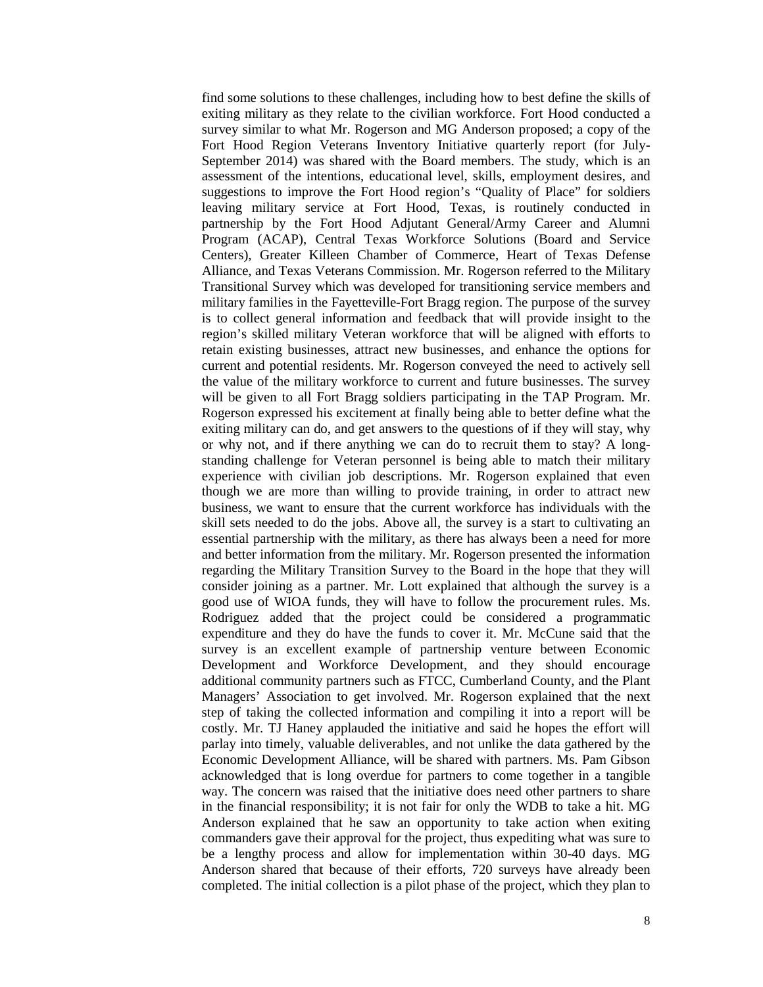find some solutions to these challenges, including how to best define the skills of exiting military as they relate to the civilian workforce. Fort Hood conducted a survey similar to what Mr. Rogerson and MG Anderson proposed; a copy of the Fort Hood Region Veterans Inventory Initiative quarterly report (for July-September 2014) was shared with the Board members. The study, which is an assessment of the intentions, educational level, skills, employment desires, and suggestions to improve the Fort Hood region's "Quality of Place" for soldiers leaving military service at Fort Hood, Texas, is routinely conducted in partnership by the Fort Hood Adjutant General/Army Career and Alumni Program (ACAP), Central Texas Workforce Solutions (Board and Service Centers), Greater Killeen Chamber of Commerce, Heart of Texas Defense Alliance, and Texas Veterans Commission. Mr. Rogerson referred to the Military Transitional Survey which was developed for transitioning service members and military families in the Fayetteville-Fort Bragg region. The purpose of the survey is to collect general information and feedback that will provide insight to the region's skilled military Veteran workforce that will be aligned with efforts to retain existing businesses, attract new businesses, and enhance the options for current and potential residents. Mr. Rogerson conveyed the need to actively sell the value of the military workforce to current and future businesses. The survey will be given to all Fort Bragg soldiers participating in the TAP Program. Mr. Rogerson expressed his excitement at finally being able to better define what the exiting military can do, and get answers to the questions of if they will stay, why or why not, and if there anything we can do to recruit them to stay? A longstanding challenge for Veteran personnel is being able to match their military experience with civilian job descriptions. Mr. Rogerson explained that even though we are more than willing to provide training, in order to attract new business, we want to ensure that the current workforce has individuals with the skill sets needed to do the jobs. Above all, the survey is a start to cultivating an essential partnership with the military, as there has always been a need for more and better information from the military. Mr. Rogerson presented the information regarding the Military Transition Survey to the Board in the hope that they will consider joining as a partner. Mr. Lott explained that although the survey is a good use of WIOA funds, they will have to follow the procurement rules. Ms. Rodriguez added that the project could be considered a programmatic expenditure and they do have the funds to cover it. Mr. McCune said that the survey is an excellent example of partnership venture between Economic Development and Workforce Development, and they should encourage additional community partners such as FTCC, Cumberland County, and the Plant Managers' Association to get involved. Mr. Rogerson explained that the next step of taking the collected information and compiling it into a report will be costly. Mr. TJ Haney applauded the initiative and said he hopes the effort will parlay into timely, valuable deliverables, and not unlike the data gathered by the Economic Development Alliance, will be shared with partners. Ms. Pam Gibson acknowledged that is long overdue for partners to come together in a tangible way. The concern was raised that the initiative does need other partners to share in the financial responsibility; it is not fair for only the WDB to take a hit. MG Anderson explained that he saw an opportunity to take action when exiting commanders gave their approval for the project, thus expediting what was sure to be a lengthy process and allow for implementation within 30-40 days. MG Anderson shared that because of their efforts, 720 surveys have already been completed. The initial collection is a pilot phase of the project, which they plan to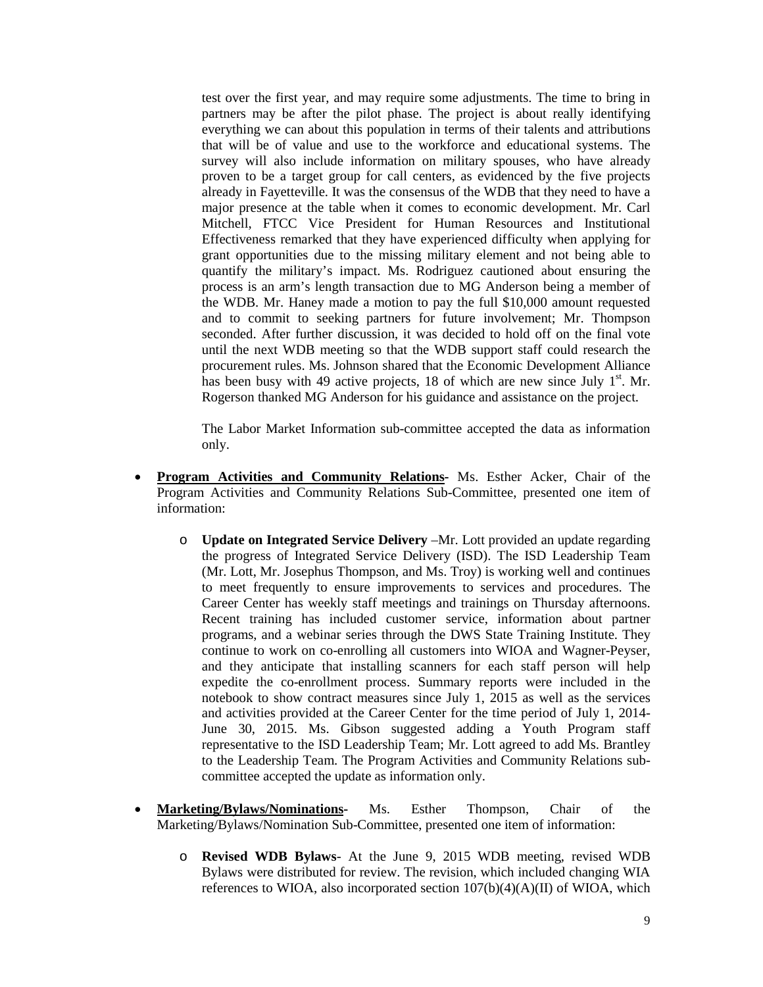test over the first year, and may require some adjustments. The time to bring in partners may be after the pilot phase. The project is about really identifying everything we can about this population in terms of their talents and attributions that will be of value and use to the workforce and educational systems. The survey will also include information on military spouses, who have already proven to be a target group for call centers, as evidenced by the five projects already in Fayetteville. It was the consensus of the WDB that they need to have a major presence at the table when it comes to economic development. Mr. Carl Mitchell, FTCC Vice President for Human Resources and Institutional Effectiveness remarked that they have experienced difficulty when applying for grant opportunities due to the missing military element and not being able to quantify the military's impact. Ms. Rodriguez cautioned about ensuring the process is an arm's length transaction due to MG Anderson being a member of the WDB. Mr. Haney made a motion to pay the full \$10,000 amount requested and to commit to seeking partners for future involvement; Mr. Thompson seconded. After further discussion, it was decided to hold off on the final vote until the next WDB meeting so that the WDB support staff could research the procurement rules. Ms. Johnson shared that the Economic Development Alliance has been busy with 49 active projects, 18 of which are new since July  $1<sup>st</sup>$ . Mr. Rogerson thanked MG Anderson for his guidance and assistance on the project.

The Labor Market Information sub-committee accepted the data as information only.

- **Program Activities and Community Relations-** Ms. Esther Acker, Chair of the Program Activities and Community Relations Sub-Committee, presented one item of information:
	- o **Update on Integrated Service Delivery** –Mr. Lott provided an update regarding the progress of Integrated Service Delivery (ISD). The ISD Leadership Team (Mr. Lott, Mr. Josephus Thompson, and Ms. Troy) is working well and continues to meet frequently to ensure improvements to services and procedures. The Career Center has weekly staff meetings and trainings on Thursday afternoons. Recent training has included customer service, information about partner programs, and a webinar series through the DWS State Training Institute. They continue to work on co-enrolling all customers into WIOA and Wagner-Peyser, and they anticipate that installing scanners for each staff person will help expedite the co-enrollment process. Summary reports were included in the notebook to show contract measures since July 1, 2015 as well as the services and activities provided at the Career Center for the time period of July 1, 2014- June 30, 2015. Ms. Gibson suggested adding a Youth Program staff representative to the ISD Leadership Team; Mr. Lott agreed to add Ms. Brantley to the Leadership Team. The Program Activities and Community Relations subcommittee accepted the update as information only.
- **Marketing/Bylaws/Nominations-** Ms. Esther Thompson, Chair of the Marketing/Bylaws/Nomination Sub-Committee, presented one item of information:
	- o **Revised WDB Bylaws** At the June 9, 2015 WDB meeting, revised WDB Bylaws were distributed for review. The revision, which included changing WIA references to WIOA, also incorporated section  $107(b)(4)(A)(II)$  of WIOA, which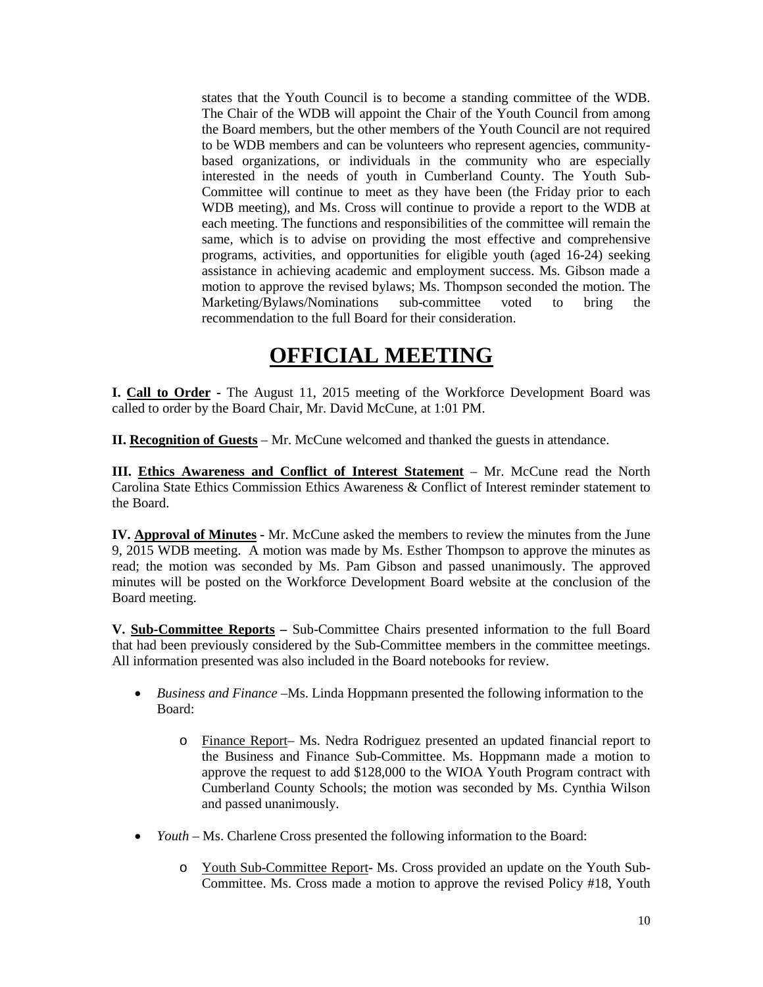states that the Youth Council is to become a standing committee of the WDB. The Chair of the WDB will appoint the Chair of the Youth Council from among the Board members, but the other members of the Youth Council are not required to be WDB members and can be volunteers who represent agencies, communitybased organizations, or individuals in the community who are especially interested in the needs of youth in Cumberland County. The Youth Sub-Committee will continue to meet as they have been (the Friday prior to each WDB meeting), and Ms. Cross will continue to provide a report to the WDB at each meeting. The functions and responsibilities of the committee will remain the same, which is to advise on providing the most effective and comprehensive programs, activities, and opportunities for eligible youth (aged 16-24) seeking assistance in achieving academic and employment success. Ms. Gibson made a motion to approve the revised bylaws; Ms. Thompson seconded the motion. The Marketing/Bylaws/Nominations sub-committee voted to bring the recommendation to the full Board for their consideration.

## **OFFICIAL MEETING**

**I. Call to Order -** The August 11, 2015 meeting of the Workforce Development Board was called to order by the Board Chair, Mr. David McCune, at 1:01 PM.

**II. Recognition of Guests** – Mr. McCune welcomed and thanked the guests in attendance.

**III. Ethics Awareness and Conflict of Interest Statement** – Mr. McCune read the North Carolina State Ethics Commission Ethics Awareness & Conflict of Interest reminder statement to the Board.

**IV. Approval of Minutes -** Mr. McCune asked the members to review the minutes from the June 9, 2015 WDB meeting. A motion was made by Ms. Esther Thompson to approve the minutes as read; the motion was seconded by Ms. Pam Gibson and passed unanimously. The approved minutes will be posted on the Workforce Development Board website at the conclusion of the Board meeting.

**V. Sub-Committee Reports –** Sub-Committee Chairs presented information to the full Board that had been previously considered by the Sub-Committee members in the committee meetings. All information presented was also included in the Board notebooks for review.

- *Business and Finance –*Ms. Linda Hoppmann presented the following information to the Board:
	- o Finance Report– Ms. Nedra Rodriguez presented an updated financial report to the Business and Finance Sub-Committee. Ms. Hoppmann made a motion to approve the request to add \$128,000 to the WIOA Youth Program contract with Cumberland County Schools; the motion was seconded by Ms. Cynthia Wilson and passed unanimously.
- *Youth* Ms. Charlene Cross presented the following information to the Board:
	- o Youth Sub-Committee Report- Ms. Cross provided an update on the Youth Sub-Committee. Ms. Cross made a motion to approve the revised Policy #18, Youth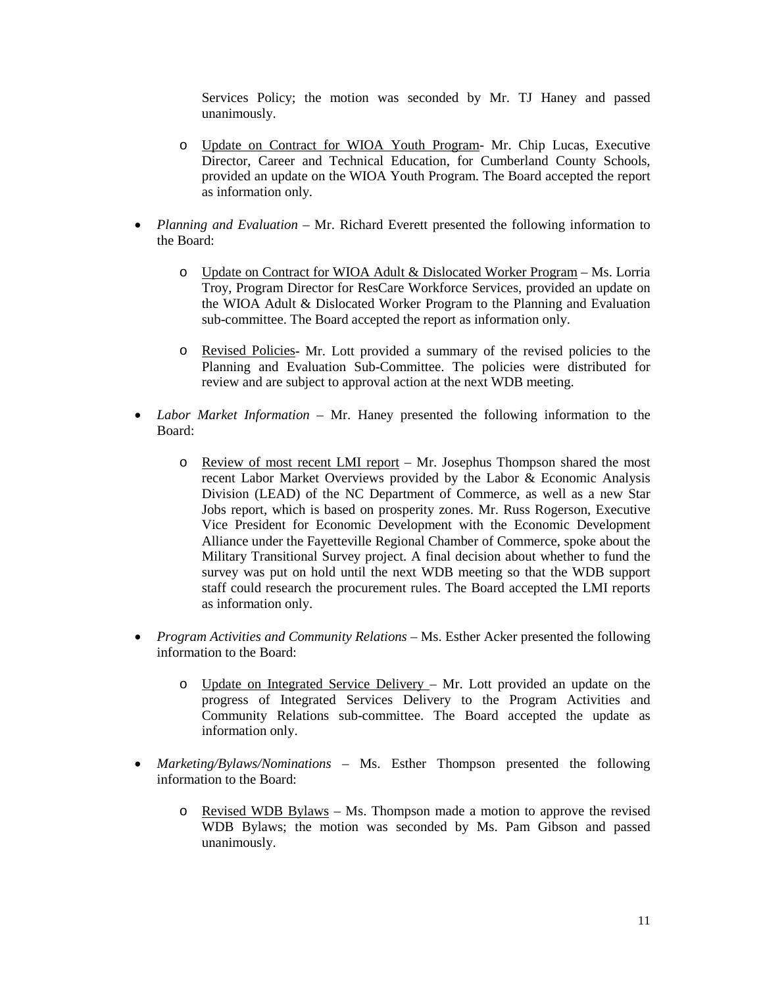Services Policy; the motion was seconded by Mr. TJ Haney and passed unanimously.

- o Update on Contract for WIOA Youth Program- Mr. Chip Lucas, Executive Director, Career and Technical Education, for Cumberland County Schools, provided an update on the WIOA Youth Program. The Board accepted the report as information only.
- *Planning and Evaluation* Mr. Richard Everett presented the following information to the Board:
	- o Update on Contract for WIOA Adult & Dislocated Worker Program Ms. Lorria Troy, Program Director for ResCare Workforce Services, provided an update on the WIOA Adult & Dislocated Worker Program to the Planning and Evaluation sub-committee. The Board accepted the report as information only.
	- o Revised Policies- Mr. Lott provided a summary of the revised policies to the Planning and Evaluation Sub-Committee. The policies were distributed for review and are subject to approval action at the next WDB meeting.
- *Labor Market Information* Mr. Haney presented the following information to the Board:
	- o Review of most recent LMI report Mr. Josephus Thompson shared the most recent Labor Market Overviews provided by the Labor & Economic Analysis Division (LEAD) of the NC Department of Commerce, as well as a new Star Jobs report, which is based on prosperity zones. Mr. Russ Rogerson, Executive Vice President for Economic Development with the Economic Development Alliance under the Fayetteville Regional Chamber of Commerce, spoke about the Military Transitional Survey project. A final decision about whether to fund the survey was put on hold until the next WDB meeting so that the WDB support staff could research the procurement rules. The Board accepted the LMI reports as information only.
- *Program Activities and Community Relations –* Ms. Esther Acker presented the following information to the Board:
	- o Update on Integrated Service Delivery Mr. Lott provided an update on the progress of Integrated Services Delivery to the Program Activities and Community Relations sub-committee. The Board accepted the update as information only.
- *Marketing/Bylaws/Nominations –* Ms. Esther Thompson presented the following information to the Board:
	- o Revised WDB Bylaws Ms. Thompson made a motion to approve the revised WDB Bylaws; the motion was seconded by Ms. Pam Gibson and passed unanimously.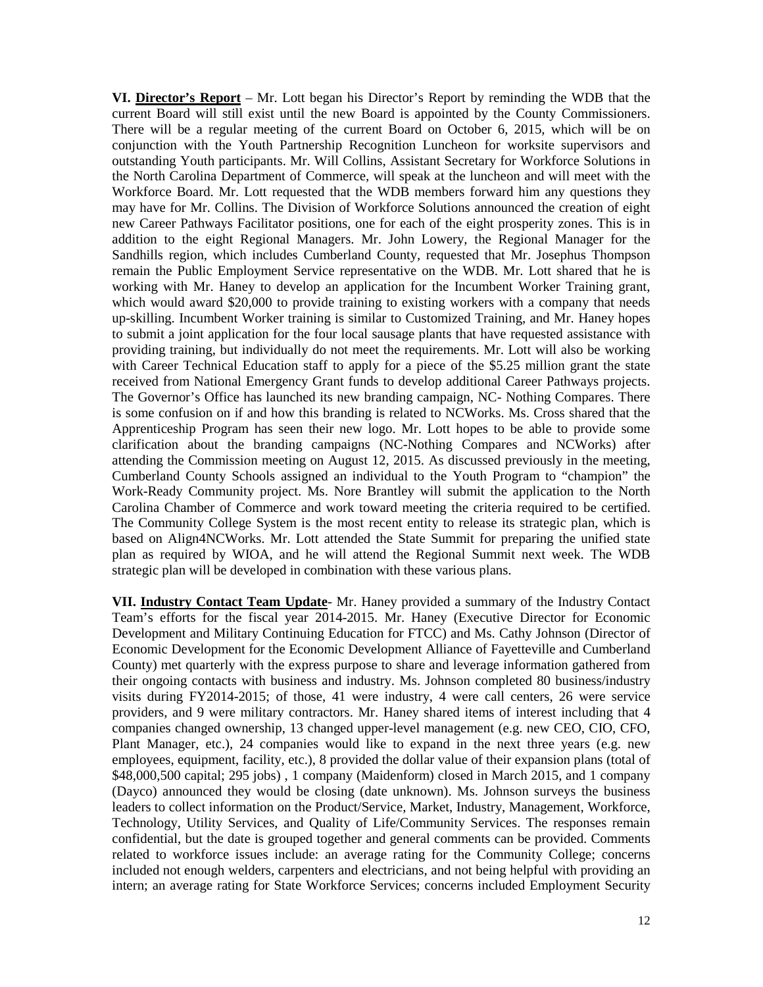**VI. Director's Report** – Mr. Lott began his Director's Report by reminding the WDB that the current Board will still exist until the new Board is appointed by the County Commissioners. There will be a regular meeting of the current Board on October 6, 2015, which will be on conjunction with the Youth Partnership Recognition Luncheon for worksite supervisors and outstanding Youth participants. Mr. Will Collins, Assistant Secretary for Workforce Solutions in the North Carolina Department of Commerce, will speak at the luncheon and will meet with the Workforce Board. Mr. Lott requested that the WDB members forward him any questions they may have for Mr. Collins. The Division of Workforce Solutions announced the creation of eight new Career Pathways Facilitator positions, one for each of the eight prosperity zones. This is in addition to the eight Regional Managers. Mr. John Lowery, the Regional Manager for the Sandhills region, which includes Cumberland County, requested that Mr. Josephus Thompson remain the Public Employment Service representative on the WDB. Mr. Lott shared that he is working with Mr. Haney to develop an application for the Incumbent Worker Training grant, which would award \$20,000 to provide training to existing workers with a company that needs up-skilling. Incumbent Worker training is similar to Customized Training, and Mr. Haney hopes to submit a joint application for the four local sausage plants that have requested assistance with providing training, but individually do not meet the requirements. Mr. Lott will also be working with Career Technical Education staff to apply for a piece of the \$5.25 million grant the state received from National Emergency Grant funds to develop additional Career Pathways projects. The Governor's Office has launched its new branding campaign, NC- Nothing Compares. There is some confusion on if and how this branding is related to NCWorks. Ms. Cross shared that the Apprenticeship Program has seen their new logo. Mr. Lott hopes to be able to provide some clarification about the branding campaigns (NC-Nothing Compares and NCWorks) after attending the Commission meeting on August 12, 2015. As discussed previously in the meeting, Cumberland County Schools assigned an individual to the Youth Program to "champion" the Work-Ready Community project. Ms. Nore Brantley will submit the application to the North Carolina Chamber of Commerce and work toward meeting the criteria required to be certified. The Community College System is the most recent entity to release its strategic plan, which is based on Align4NCWorks. Mr. Lott attended the State Summit for preparing the unified state plan as required by WIOA, and he will attend the Regional Summit next week. The WDB strategic plan will be developed in combination with these various plans.

**VII. Industry Contact Team Update**- Mr. Haney provided a summary of the Industry Contact Team's efforts for the fiscal year 2014-2015. Mr. Haney (Executive Director for Economic Development and Military Continuing Education for FTCC) and Ms. Cathy Johnson (Director of Economic Development for the Economic Development Alliance of Fayetteville and Cumberland County) met quarterly with the express purpose to share and leverage information gathered from their ongoing contacts with business and industry. Ms. Johnson completed 80 business/industry visits during FY2014-2015; of those, 41 were industry, 4 were call centers, 26 were service providers, and 9 were military contractors. Mr. Haney shared items of interest including that 4 companies changed ownership, 13 changed upper-level management (e.g. new CEO, CIO, CFO, Plant Manager, etc.), 24 companies would like to expand in the next three years (e.g. new employees, equipment, facility, etc.), 8 provided the dollar value of their expansion plans (total of \$48,000,500 capital; 295 jobs) , 1 company (Maidenform) closed in March 2015, and 1 company (Dayco) announced they would be closing (date unknown). Ms. Johnson surveys the business leaders to collect information on the Product/Service, Market, Industry, Management, Workforce, Technology, Utility Services, and Quality of Life/Community Services. The responses remain confidential, but the date is grouped together and general comments can be provided. Comments related to workforce issues include: an average rating for the Community College; concerns included not enough welders, carpenters and electricians, and not being helpful with providing an intern; an average rating for State Workforce Services; concerns included Employment Security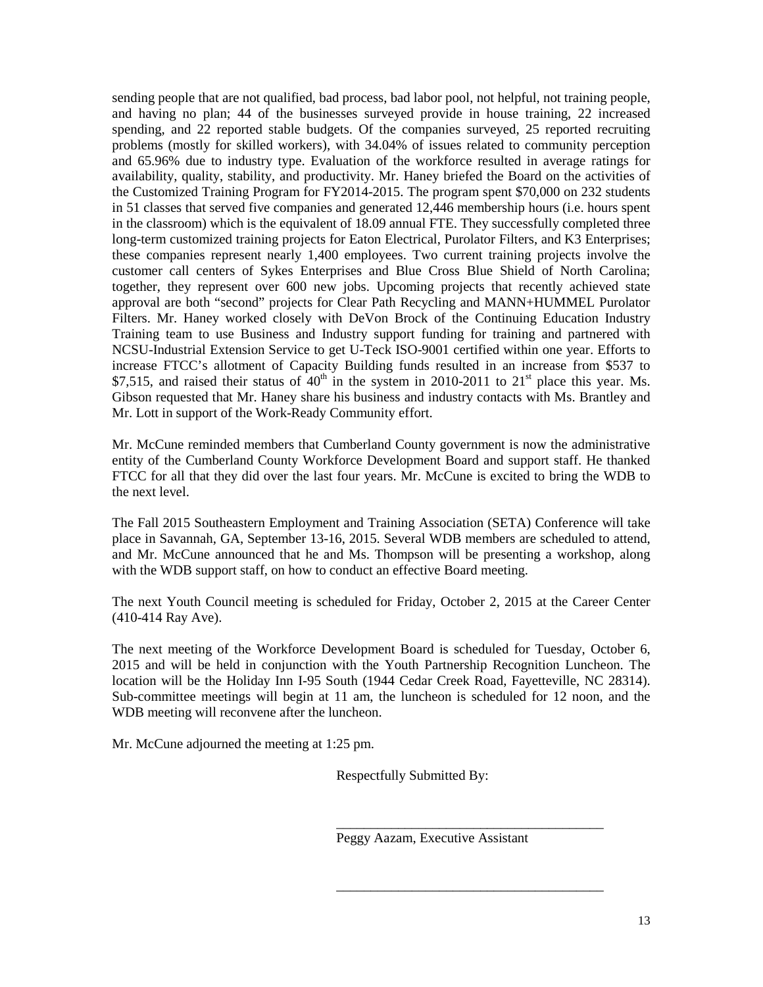sending people that are not qualified, bad process, bad labor pool, not helpful, not training people, and having no plan; 44 of the businesses surveyed provide in house training, 22 increased spending, and 22 reported stable budgets. Of the companies surveyed, 25 reported recruiting problems (mostly for skilled workers), with 34.04% of issues related to community perception and 65.96% due to industry type. Evaluation of the workforce resulted in average ratings for availability, quality, stability, and productivity. Mr. Haney briefed the Board on the activities of the Customized Training Program for FY2014-2015. The program spent \$70,000 on 232 students in 51 classes that served five companies and generated 12,446 membership hours (i.e. hours spent in the classroom) which is the equivalent of 18.09 annual FTE. They successfully completed three long-term customized training projects for Eaton Electrical, Purolator Filters, and K3 Enterprises; these companies represent nearly 1,400 employees. Two current training projects involve the customer call centers of Sykes Enterprises and Blue Cross Blue Shield of North Carolina; together, they represent over 600 new jobs. Upcoming projects that recently achieved state approval are both "second" projects for Clear Path Recycling and MANN+HUMMEL Purolator Filters. Mr. Haney worked closely with DeVon Brock of the Continuing Education Industry Training team to use Business and Industry support funding for training and partnered with NCSU-Industrial Extension Service to get U-Teck ISO-9001 certified within one year. Efforts to increase FTCC's allotment of Capacity Building funds resulted in an increase from \$537 to \$7,515, and raised their status of  $40<sup>th</sup>$  in the system in 2010-2011 to 21<sup>st</sup> place this year. Ms. Gibson requested that Mr. Haney share his business and industry contacts with Ms. Brantley and Mr. Lott in support of the Work-Ready Community effort.

Mr. McCune reminded members that Cumberland County government is now the administrative entity of the Cumberland County Workforce Development Board and support staff. He thanked FTCC for all that they did over the last four years. Mr. McCune is excited to bring the WDB to the next level.

The Fall 2015 Southeastern Employment and Training Association (SETA) Conference will take place in Savannah, GA, September 13-16, 2015. Several WDB members are scheduled to attend, and Mr. McCune announced that he and Ms. Thompson will be presenting a workshop, along with the WDB support staff, on how to conduct an effective Board meeting.

The next Youth Council meeting is scheduled for Friday, October 2, 2015 at the Career Center (410-414 Ray Ave).

The next meeting of the Workforce Development Board is scheduled for Tuesday, October 6, 2015 and will be held in conjunction with the Youth Partnership Recognition Luncheon. The location will be the Holiday Inn I-95 South (1944 Cedar Creek Road, Fayetteville, NC 28314). Sub-committee meetings will begin at 11 am, the luncheon is scheduled for 12 noon, and the WDB meeting will reconvene after the luncheon.

Mr. McCune adjourned the meeting at 1:25 pm.

Respectfully Submitted By:

Peggy Aazam, Executive Assistant

\_\_\_\_\_\_\_\_\_\_\_\_\_\_\_\_\_\_\_\_\_\_\_\_\_\_\_\_\_\_\_\_\_\_\_\_\_\_\_

\_\_\_\_\_\_\_\_\_\_\_\_\_\_\_\_\_\_\_\_\_\_\_\_\_\_\_\_\_\_\_\_\_\_\_\_\_\_\_